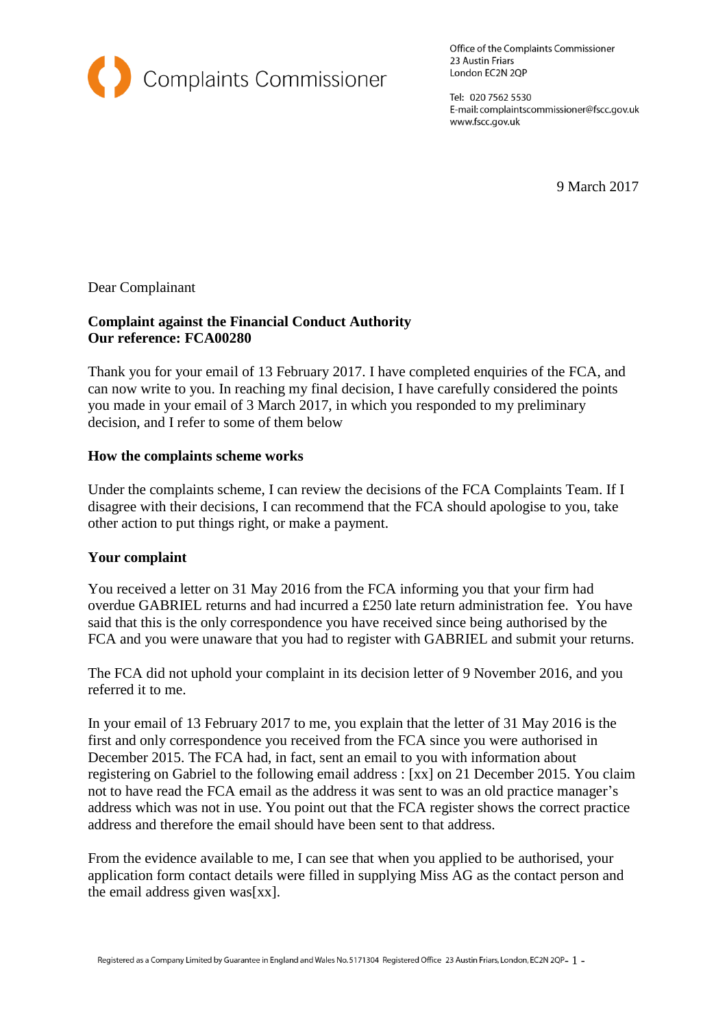

Office of the Complaints Commissioner 23 Austin Friars London EC2N 2QP

Tel: 020 7562 5530 E-mail: complaintscommissioner@fscc.gov.uk www.fscc.gov.uk

9 March 2017

Dear Complainant

## **Complaint against the Financial Conduct Authority Our reference: FCA00280**

Thank you for your email of 13 February 2017. I have completed enquiries of the FCA, and can now write to you. In reaching my final decision, I have carefully considered the points you made in your email of 3 March 2017, in which you responded to my preliminary decision, and I refer to some of them below

## **How the complaints scheme works**

Under the complaints scheme, I can review the decisions of the FCA Complaints Team. If I disagree with their decisions, I can recommend that the FCA should apologise to you, take other action to put things right, or make a payment.

## **Your complaint**

You received a letter on 31 May 2016 from the FCA informing you that your firm had overdue GABRIEL returns and had incurred a £250 late return administration fee. You have said that this is the only correspondence you have received since being authorised by the FCA and you were unaware that you had to register with GABRIEL and submit your returns.

The FCA did not uphold your complaint in its decision letter of 9 November 2016, and you referred it to me.

In your email of 13 February 2017 to me, you explain that the letter of 31 May 2016 is the first and only correspondence you received from the FCA since you were authorised in December 2015. The FCA had, in fact, sent an email to you with information about registering on Gabriel to the following email address : [xx] on 21 December 2015. You claim not to have read the FCA email as the address it was sent to was an old practice manager's address which was not in use. You point out that the FCA register shows the correct practice address and therefore the email should have been sent to that address.

From the evidence available to me, I can see that when you applied to be authorised, your application form contact details were filled in supplying Miss AG as the contact person and the email address given was[xx].